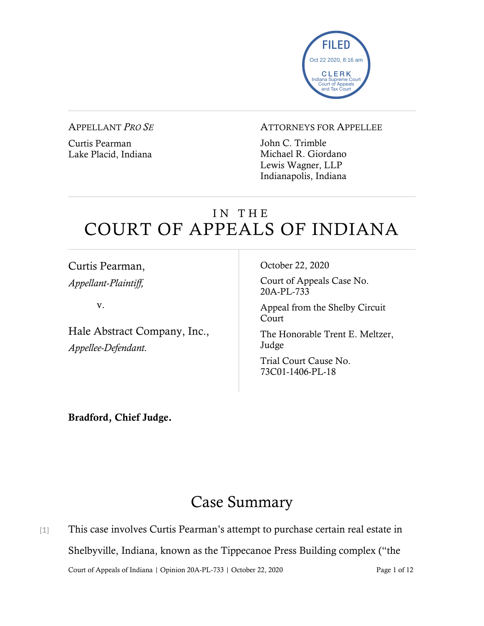

#### APPELLANT *PRO SE*

Curtis Pearman Lake Placid, Indiana

#### ATTORNEYS FOR APPELLEE

John C. Trimble Michael R. Giordano Lewis Wagner, LLP Indianapolis, Indiana

# IN THE COURT OF APPEALS OF INDIANA

Curtis Pearman, *Appellant-Plaintiff,*

v.

Hale Abstract Company, Inc., *Appellee-Defendant.*

October 22, 2020

Court of Appeals Case No. 20A-PL-733

Appeal from the Shelby Circuit Court

The Honorable Trent E. Meltzer, Judge

Trial Court Cause No. 73C01-1406-PL-18

Bradford, Chief Judge.

# Case Summary

Court of Appeals of Indiana | Opinion 20A-PL-733 | October 22, 2020 Page 1 of 12 [1] This case involves Curtis Pearman's attempt to purchase certain real estate in Shelbyville, Indiana, known as the Tippecanoe Press Building complex ("the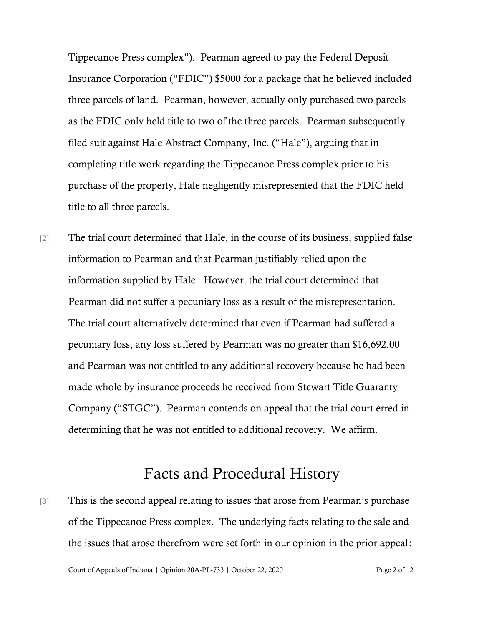Tippecanoe Press complex"). Pearman agreed to pay the Federal Deposit Insurance Corporation ("FDIC") \$5000 for a package that he believed included three parcels of land. Pearman, however, actually only purchased two parcels as the FDIC only held title to two of the three parcels. Pearman subsequently filed suit against Hale Abstract Company, Inc. ("Hale"), arguing that in completing title work regarding the Tippecanoe Press complex prior to his purchase of the property, Hale negligently misrepresented that the FDIC held title to all three parcels.

[2] The trial court determined that Hale, in the course of its business, supplied false information to Pearman and that Pearman justifiably relied upon the information supplied by Hale. However, the trial court determined that Pearman did not suffer a pecuniary loss as a result of the misrepresentation. The trial court alternatively determined that even if Pearman had suffered a pecuniary loss, any loss suffered by Pearman was no greater than \$16,692.00 and Pearman was not entitled to any additional recovery because he had been made whole by insurance proceeds he received from Stewart Title Guaranty Company ("STGC"). Pearman contends on appeal that the trial court erred in determining that he was not entitled to additional recovery. We affirm.

## Facts and Procedural History

[3] This is the second appeal relating to issues that arose from Pearman's purchase of the Tippecanoe Press complex. The underlying facts relating to the sale and the issues that arose therefrom were set forth in our opinion in the prior appeal: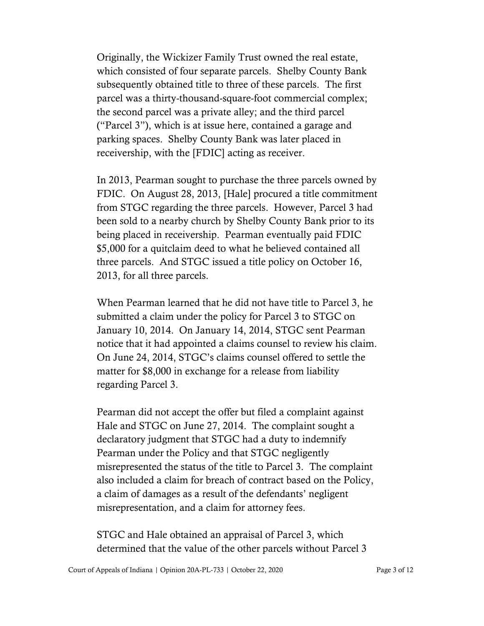Originally, the Wickizer Family Trust owned the real estate, which consisted of four separate parcels. Shelby County Bank subsequently obtained title to three of these parcels. The first parcel was a thirty-thousand-square-foot commercial complex; the second parcel was a private alley; and the third parcel ("Parcel 3"), which is at issue here, contained a garage and parking spaces. Shelby County Bank was later placed in receivership, with the [FDIC] acting as receiver.

In 2013, Pearman sought to purchase the three parcels owned by FDIC. On August 28, 2013, [Hale] procured a title commitment from STGC regarding the three parcels. However, Parcel 3 had been sold to a nearby church by Shelby County Bank prior to its being placed in receivership. Pearman eventually paid FDIC \$5,000 for a quitclaim deed to what he believed contained all three parcels. And STGC issued a title policy on October 16, 2013, for all three parcels.

When Pearman learned that he did not have title to Parcel 3, he submitted a claim under the policy for Parcel 3 to STGC on January 10, 2014. On January 14, 2014, STGC sent Pearman notice that it had appointed a claims counsel to review his claim. On June 24, 2014, STGC's claims counsel offered to settle the matter for \$8,000 in exchange for a release from liability regarding Parcel 3.

Pearman did not accept the offer but filed a complaint against Hale and STGC on June 27, 2014. The complaint sought a declaratory judgment that STGC had a duty to indemnify Pearman under the Policy and that STGC negligently misrepresented the status of the title to Parcel 3. The complaint also included a claim for breach of contract based on the Policy, a claim of damages as a result of the defendants' negligent misrepresentation, and a claim for attorney fees.

STGC and Hale obtained an appraisal of Parcel 3, which determined that the value of the other parcels without Parcel 3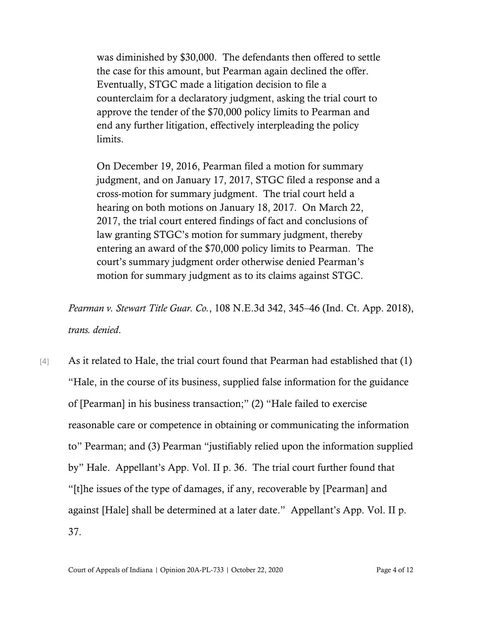was diminished by \$30,000. The defendants then offered to settle the case for this amount, but Pearman again declined the offer. Eventually, STGC made a litigation decision to file a counterclaim for a declaratory judgment, asking the trial court to approve the tender of the \$70,000 policy limits to Pearman and end any further litigation, effectively interpleading the policy limits.

On December 19, 2016, Pearman filed a motion for summary judgment, and on January 17, 2017, STGC filed a response and a cross-motion for summary judgment. The trial court held a hearing on both motions on January 18, 2017. On March 22, 2017, the trial court entered findings of fact and conclusions of law granting STGC's motion for summary judgment, thereby entering an award of the \$70,000 policy limits to Pearman. The court's summary judgment order otherwise denied Pearman's motion for summary judgment as to its claims against STGC.

*Pearman v. Stewart Title Guar. Co.*, 108 N.E.3d 342, 345–46 (Ind. Ct. App. 2018), *trans. denied*.

[4] As it related to Hale, the trial court found that Pearman had established that (1) "Hale, in the course of its business, supplied false information for the guidance of [Pearman] in his business transaction;" (2) "Hale failed to exercise reasonable care or competence in obtaining or communicating the information to" Pearman; and (3) Pearman "justifiably relied upon the information supplied by" Hale. Appellant's App. Vol. II p. 36. The trial court further found that "[t]he issues of the type of damages, if any, recoverable by [Pearman] and against [Hale] shall be determined at a later date." Appellant's App. Vol. II p. 37.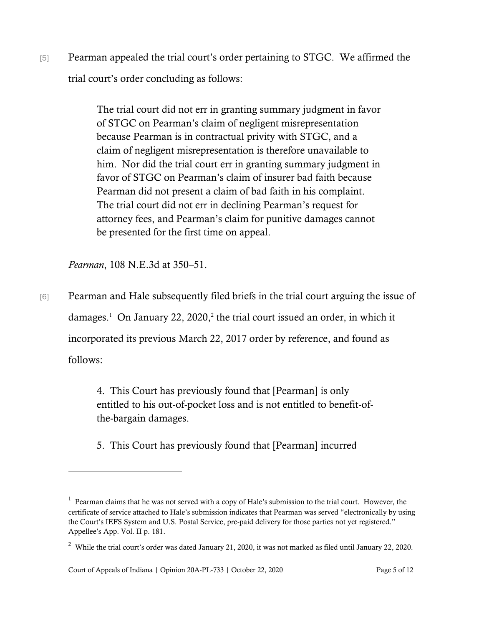[5] Pearman appealed the trial court's order pertaining to STGC. We affirmed the trial court's order concluding as follows:

> The trial court did not err in granting summary judgment in favor of STGC on Pearman's claim of negligent misrepresentation because Pearman is in contractual privity with STGC, and a claim of negligent misrepresentation is therefore unavailable to him. Nor did the trial court err in granting summary judgment in favor of STGC on Pearman's claim of insurer bad faith because Pearman did not present a claim of bad faith in his complaint. The trial court did not err in declining Pearman's request for attorney fees, and Pearman's claim for punitive damages cannot be presented for the first time on appeal.

*Pearman*, 108 N.E.3d at 350–51.

[6] Pearman and Hale subsequently filed briefs in the trial court arguing the issue of  $d$ amages.<sup>1</sup> On January 22, 2020,<sup>2</sup> the trial court issued an order, in which it incorporated its previous March 22, 2017 order by reference, and found as follows:

> 4. This Court has previously found that [Pearman] is only entitled to his out-of-pocket loss and is not entitled to benefit-ofthe-bargain damages.

5. This Court has previously found that [Pearman] incurred

 $<sup>1</sup>$  Pearman claims that he was not served with a copy of Hale's submission to the trial court. However, the</sup> certificate of service attached to Hale's submission indicates that Pearman was served "electronically by using the Court's IEFS System and U.S. Postal Service, pre-paid delivery for those parties not yet registered." Appellee's App. Vol. II p. 181.

<sup>&</sup>lt;sup>2</sup> While the trial court's order was dated January 21, 2020, it was not marked as filed until January 22, 2020.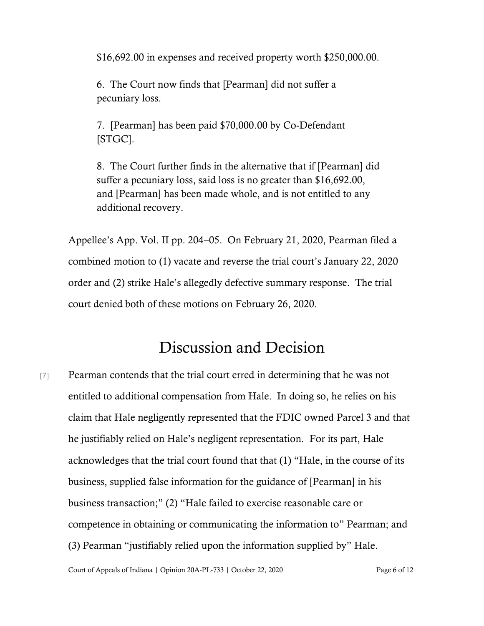\$16,692.00 in expenses and received property worth \$250,000.00.

6. The Court now finds that [Pearman] did not suffer a pecuniary loss.

7. [Pearman] has been paid \$70,000.00 by Co-Defendant [STGC].

8. The Court further finds in the alternative that if [Pearman] did suffer a pecuniary loss, said loss is no greater than \$16,692.00, and [Pearman] has been made whole, and is not entitled to any additional recovery.

Appellee's App. Vol. II pp. 204–05. On February 21, 2020, Pearman filed a combined motion to (1) vacate and reverse the trial court's January 22, 2020 order and (2) strike Hale's allegedly defective summary response. The trial court denied both of these motions on February 26, 2020.

## Discussion and Decision

[7] Pearman contends that the trial court erred in determining that he was not entitled to additional compensation from Hale. In doing so, he relies on his claim that Hale negligently represented that the FDIC owned Parcel 3 and that he justifiably relied on Hale's negligent representation. For its part, Hale acknowledges that the trial court found that that (1) "Hale, in the course of its business, supplied false information for the guidance of [Pearman] in his business transaction;" (2) "Hale failed to exercise reasonable care or competence in obtaining or communicating the information to" Pearman; and (3) Pearman "justifiably relied upon the information supplied by" Hale.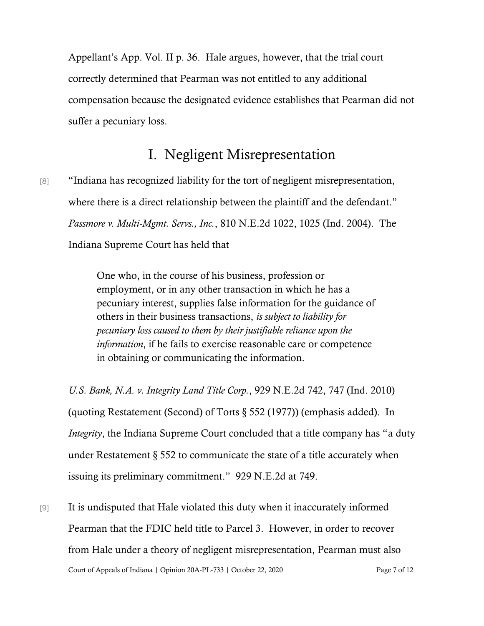Appellant's App. Vol. II p. 36. Hale argues, however, that the trial court correctly determined that Pearman was not entitled to any additional compensation because the designated evidence establishes that Pearman did not suffer a pecuniary loss.

### I. Negligent Misrepresentation

[8] "Indiana has recognized liability for the tort of negligent misrepresentation, where there is a direct relationship between the plaintiff and the defendant." *Passmore v. Multi-Mgmt. Servs., Inc.*, 810 N.E.2d 1022, 1025 (Ind. 2004). The Indiana Supreme Court has held that

> One who, in the course of his business, profession or employment, or in any other transaction in which he has a pecuniary interest, supplies false information for the guidance of others in their business transactions, *is subject to liability for pecuniary loss caused to them by their justifiable reliance upon the information*, if he fails to exercise reasonable care or competence in obtaining or communicating the information.

*U.S. Bank, N.A. v. Integrity Land Title Corp.*, 929 N.E.2d 742, 747 (Ind. 2010) (quoting Restatement (Second) of Torts § 552 (1977)) (emphasis added). In *Integrity*, the Indiana Supreme Court concluded that a title company has "a duty under Restatement § 552 to communicate the state of a title accurately when issuing its preliminary commitment." 929 N.E.2d at 749.

Court of Appeals of Indiana | Opinion 20A-PL-733 | October 22, 2020 Page 7 of 12 [9] It is undisputed that Hale violated this duty when it inaccurately informed Pearman that the FDIC held title to Parcel 3. However, in order to recover from Hale under a theory of negligent misrepresentation, Pearman must also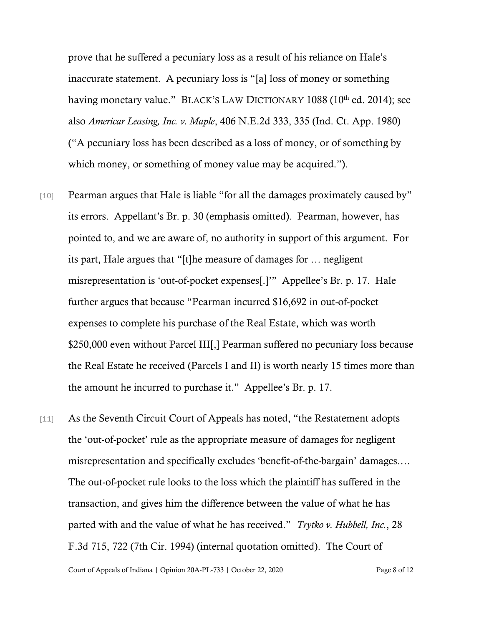prove that he suffered a pecuniary loss as a result of his reliance on Hale's inaccurate statement. A pecuniary loss is "[a] loss of money or something having monetary value." BLACK'S LAW DICTIONARY 1088 (10<sup>th</sup> ed. 2014); see also *Americar Leasing, Inc. v. Maple*, 406 N.E.2d 333, 335 (Ind. Ct. App. 1980) ("A pecuniary loss has been described as a loss of money, or of something by which money, or something of money value may be acquired.").

- [10] Pearman argues that Hale is liable "for all the damages proximately caused by" its errors. Appellant's Br. p. 30 (emphasis omitted). Pearman, however, has pointed to, and we are aware of, no authority in support of this argument. For its part, Hale argues that "[t]he measure of damages for … negligent misrepresentation is 'out-of-pocket expenses[.]'" Appellee's Br. p. 17. Hale further argues that because "Pearman incurred \$16,692 in out-of-pocket expenses to complete his purchase of the Real Estate, which was worth \$250,000 even without Parcel III[,] Pearman suffered no pecuniary loss because the Real Estate he received (Parcels I and II) is worth nearly 15 times more than the amount he incurred to purchase it." Appellee's Br. p. 17.
- [11] As the Seventh Circuit Court of Appeals has noted, "the Restatement adopts the 'out-of-pocket' rule as the appropriate measure of damages for negligent misrepresentation and specifically excludes 'benefit-of-the-bargain' damages.… The out-of-pocket rule looks to the loss which the plaintiff has suffered in the transaction, and gives him the difference between the value of what he has parted with and the value of what he has received." *Trytko v. Hubbell, Inc.*, 28 F.3d 715, 722 (7th Cir. 1994) (internal quotation omitted). The Court of

Court of Appeals of Indiana | Opinion 20A-PL-733 | October 22, 2020 Page 8 of 12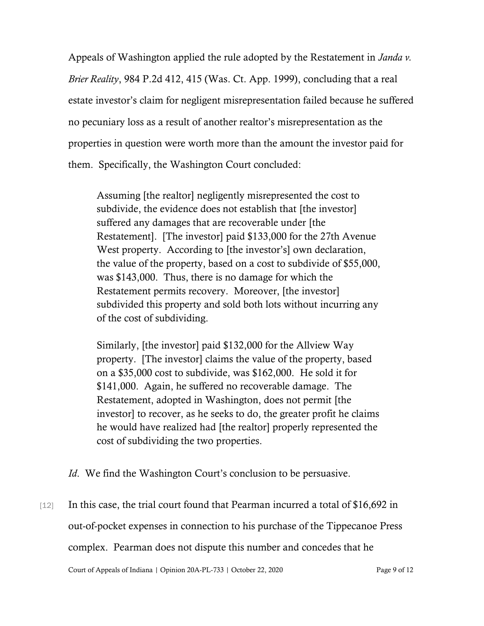Appeals of Washington applied the rule adopted by the Restatement in *Janda v. Brier Reality*, 984 P.2d 412, 415 (Was. Ct. App. 1999), concluding that a real estate investor's claim for negligent misrepresentation failed because he suffered no pecuniary loss as a result of another realtor's misrepresentation as the properties in question were worth more than the amount the investor paid for them. Specifically, the Washington Court concluded:

Assuming [the realtor] negligently misrepresented the cost to subdivide, the evidence does not establish that [the investor] suffered any damages that are recoverable under [the Restatement]. [The investor] paid \$133,000 for the 27th Avenue West property. According to [the investor's] own declaration, the value of the property, based on a cost to subdivide of \$55,000, was \$143,000. Thus, there is no damage for which the Restatement permits recovery. Moreover, [the investor] subdivided this property and sold both lots without incurring any of the cost of subdividing.

Similarly, [the investor] paid \$132,000 for the Allview Way property. [The investor] claims the value of the property, based on a \$35,000 cost to subdivide, was \$162,000. He sold it for \$141,000. Again, he suffered no recoverable damage. The Restatement, adopted in Washington, does not permit [the investor] to recover, as he seeks to do, the greater profit he claims he would have realized had [the realtor] properly represented the cost of subdividing the two properties.

*Id.* We find the Washington Court's conclusion to be persuasive.

[12] In this case, the trial court found that Pearman incurred a total of \$16,692 in out-of-pocket expenses in connection to his purchase of the Tippecanoe Press complex. Pearman does not dispute this number and concedes that he

Court of Appeals of Indiana | Opinion 20A-PL-733 | October 22, 2020 Page 9 of 12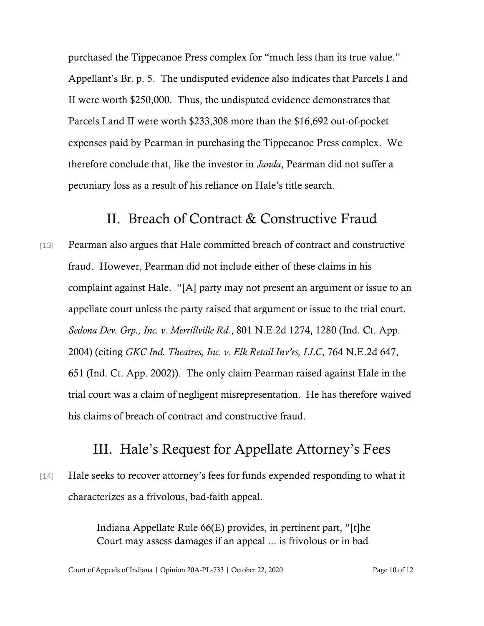purchased the Tippecanoe Press complex for "much less than its true value." Appellant's Br. p. 5. The undisputed evidence also indicates that Parcels I and II were worth \$250,000. Thus, the undisputed evidence demonstrates that Parcels I and II were worth \$233,308 more than the \$16,692 out-of-pocket expenses paid by Pearman in purchasing the Tippecanoe Press complex. We therefore conclude that, like the investor in *Janda*, Pearman did not suffer a pecuniary loss as a result of his reliance on Hale's title search.

#### II. Breach of Contract & Constructive Fraud

[13] Pearman also argues that Hale committed breach of contract and constructive fraud. However, Pearman did not include either of these claims in his complaint against Hale. "[A] party may not present an argument or issue to an appellate court unless the party raised that argument or issue to the trial court. *Sedona Dev. Grp., Inc. v. Merrillville Rd.*, 801 N.E.2d 1274, 1280 (Ind. Ct. App. 2004) (citing *GKC Ind. Theatres, Inc. v. Elk Retail Inv'rs, LLC*, 764 N.E.2d 647, 651 (Ind. Ct. App. 2002)). The only claim Pearman raised against Hale in the trial court was a claim of negligent misrepresentation. He has therefore waived his claims of breach of contract and constructive fraud.

### III. Hale's Request for Appellate Attorney's Fees

[14] Hale seeks to recover attorney's fees for funds expended responding to what it characterizes as a frivolous, bad-faith appeal.

> Indiana Appellate Rule 66(E) provides, in pertinent part, "[t]he Court may assess damages if an appeal ... is frivolous or in bad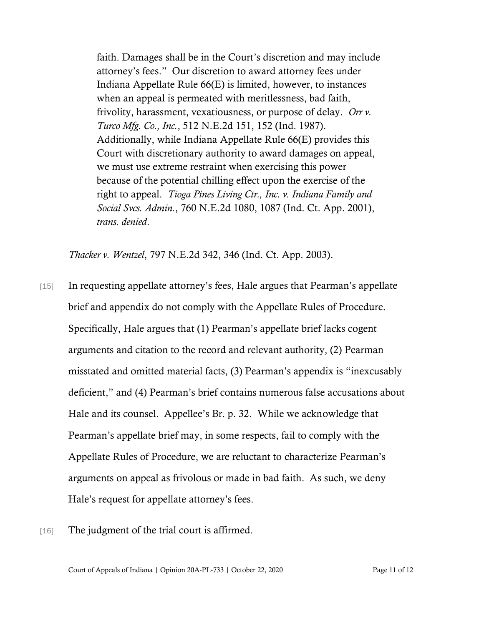faith. Damages shall be in the Court's discretion and may include attorney's fees." Our discretion to award attorney fees under Indiana Appellate Rule 66(E) is limited, however, to instances when an appeal is permeated with meritlessness, bad faith, frivolity, harassment, vexatiousness, or purpose of delay. *Orr v. Turco Mfg. Co., Inc.*, 512 N.E.2d 151, 152 (Ind. 1987). Additionally, while Indiana Appellate Rule 66(E) provides this Court with discretionary authority to award damages on appeal, we must use extreme restraint when exercising this power because of the potential chilling effect upon the exercise of the right to appeal. *Tioga Pines Living Ctr., Inc. v. Indiana Family and Social Svcs. Admin.*, 760 N.E.2d 1080, 1087 (Ind. Ct. App. 2001), *trans. denied*.

*Thacker v. Wentzel*, 797 N.E.2d 342, 346 (Ind. Ct. App. 2003).

- [15] In requesting appellate attorney's fees, Hale argues that Pearman's appellate brief and appendix do not comply with the Appellate Rules of Procedure. Specifically, Hale argues that (1) Pearman's appellate brief lacks cogent arguments and citation to the record and relevant authority, (2) Pearman misstated and omitted material facts, (3) Pearman's appendix is "inexcusably deficient," and (4) Pearman's brief contains numerous false accusations about Hale and its counsel. Appellee's Br. p. 32. While we acknowledge that Pearman's appellate brief may, in some respects, fail to comply with the Appellate Rules of Procedure, we are reluctant to characterize Pearman's arguments on appeal as frivolous or made in bad faith. As such, we deny Hale's request for appellate attorney's fees.
- [16] The judgment of the trial court is affirmed.